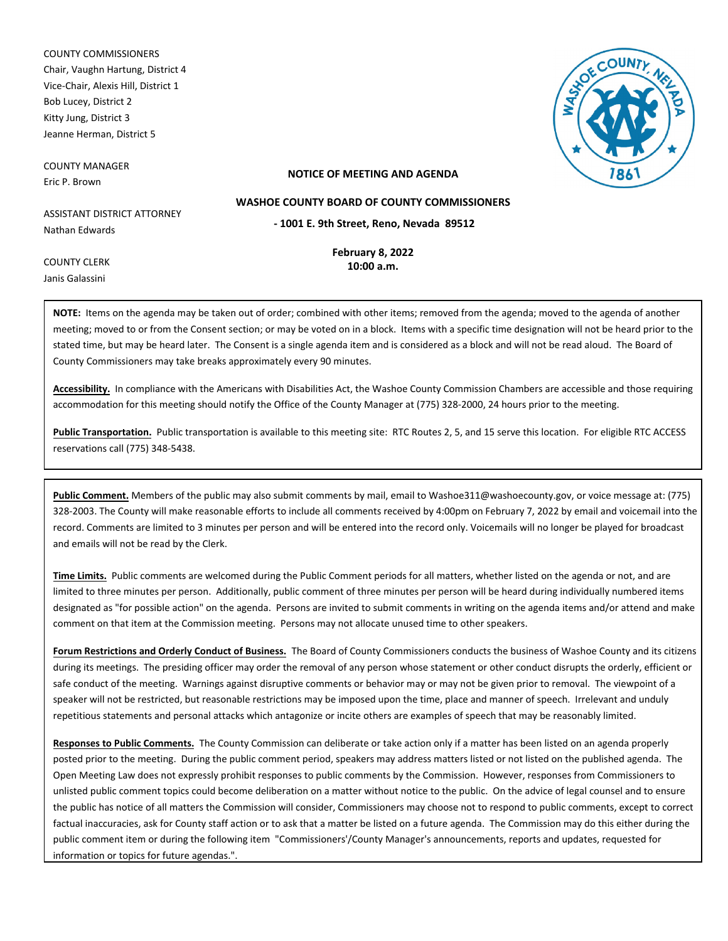COUNTY COMMISSIONERS Chair, Vaughn Hartung, District 4 Vice-Chair, Alexis Hill, District 1 Bob Lucey, District 2 Kitty Jung, District 3 Jeanne Herman, District 5

COUNTY MANAGER Eric P. Brown



## **NOTICE OF MEETING AND AGENDA**

ASSISTANT DISTRICT ATTORNEY Nathan Edwards

> **February 8, 2022 10:00 a.m.**

**- 1001 E. 9th Street, Reno, Nevada 89512 WASHOE COUNTY BOARD OF COUNTY COMMISSIONERS**

COUNTY CLERK Janis Galassini

> **NOTE:** Items on the agenda may be taken out of order; combined with other items; removed from the agenda; moved to the agenda of another meeting; moved to or from the Consent section; or may be voted on in a block. Items with a specific time designation will not be heard prior to the stated time, but may be heard later. The Consent is a single agenda item and is considered as a block and will not be read aloud. The Board of

County Commissioners may take breaks approximately every 90 minutes.

**Accessibility.** In compliance with the Americans with Disabilities Act, the Washoe County Commission Chambers are accessible and those requiring accommodation for this meeting should notify the Office of the County Manager at (775) 328-2000, 24 hours prior to the meeting.

Public Transportation. Public transportation is available to this meeting site: RTC Routes 2, 5, and 15 serve this location. For eligible RTC ACCESS reservations call (775) 348-5438.

**Public Comment.** Members of the public may also submit comments by mail, email to Washoe311@washoecounty.gov, or voice message at: (775) 328-2003. The County will make reasonable efforts to include all comments received by 4:00pm on February 7, 2022 by email and voicemail into the record. Comments are limited to 3 minutes per person and will be entered into the record only. Voicemails will no longer be played for broadcast and emails will not be read by the Clerk.

**Time Limits.** Public comments are welcomed during the Public Comment periods for all matters, whether listed on the agenda or not, and are limited to three minutes per person. Additionally, public comment of three minutes per person will be heard during individually numbered items designated as "for possible action" on the agenda. Persons are invited to submit comments in writing on the agenda items and/or attend and make comment on that item at the Commission meeting. Persons may not allocate unused time to other speakers.

**Forum Restrictions and Orderly Conduct of Business.** The Board of County Commissioners conducts the business of Washoe County and its citizens during its meetings. The presiding officer may order the removal of any person whose statement or other conduct disrupts the orderly, efficient or safe conduct of the meeting. Warnings against disruptive comments or behavior may or may not be given prior to removal. The viewpoint of a speaker will not be restricted, but reasonable restrictions may be imposed upon the time, place and manner of speech. Irrelevant and unduly repetitious statements and personal attacks which antagonize or incite others are examples of speech that may be reasonably limited.

**Responses to Public Comments.** The County Commission can deliberate or take action only if a matter has been listed on an agenda properly posted prior to the meeting. During the public comment period, speakers may address matters listed or not listed on the published agenda. The Open Meeting Law does not expressly prohibit responses to public comments by the Commission. However, responses from Commissioners to unlisted public comment topics could become deliberation on a matter without notice to the public. On the advice of legal counsel and to ensure the public has notice of all matters the Commission will consider, Commissioners may choose not to respond to public comments, except to correct factual inaccuracies, ask for County staff action or to ask that a matter be listed on a future agenda. The Commission may do this either during the public comment item or during the following item "Commissioners'/County Manager's announcements, reports and updates, requested for information or topics for future agendas.".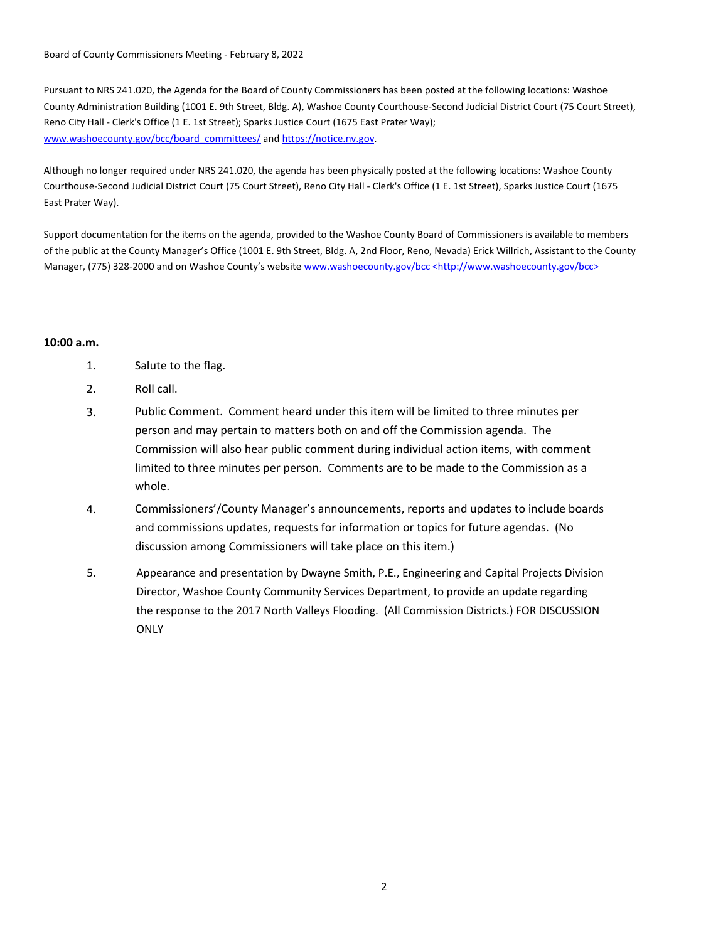Board of County Commissioners Meeting - February 8, 2022

Pursuant to NRS 241.020, the Agenda for the Board of County Commissioners has been posted at the following locations: Washoe County Administration Building (1001 E. 9th Street, Bldg. A), Washoe County Courthouse-Second Judicial District Court (75 Court Street), Reno City Hall - Clerk's Office (1 E. 1st Street); Sparks Justice Court (1675 East Prater Way); www.washoecounty.gov/bcc/board\_committees/ and https://notice.nv.gov.

Although no longer required under NRS 241.020, the agenda has been physically posted at the following locations: Washoe County Courthouse-Second Judicial District Court (75 Court Street), Reno City Hall - Clerk's Office (1 E. 1st Street), Sparks Justice Court (1675 East Prater Way).

Support documentation for the items on the agenda, provided to the Washoe County Board of Commissioners is available to members of the public at the County Manager's Office (1001 E. 9th Street, Bldg. A, 2nd Floor, Reno, Nevada) Erick Willrich, Assistant to the County Manager, (775) 328-2000 and on Washoe County's website www.washoecounty.gov/bcc <http://www.washoecounty.gov/bcc>

## **10:00 a.m.**

- 1. Salute to the flag.
- 2. Roll call.
- 3. Public Comment. Comment heard under this item will be limited to three minutes per person and may pertain to matters both on and off the Commission agenda. The Commission will also hear public comment during individual action items, with comment limited to three minutes per person. Comments are to be made to the Commission as a whole.
- 4. Commissioners'/County Manager's announcements, reports and updates to include boards and commissions updates, requests for information or topics for future agendas. (No discussion among Commissioners will take place on this item.)
- Appearance and presentation by Dwayne Smith, P.E., Engineering and Capital Projects Division Director, Washoe County Community Services Department, to provide an update regarding the response to the 2017 North Valleys Flooding. (All Commission Districts.) FOR DISCUSSION **ONLY** 5.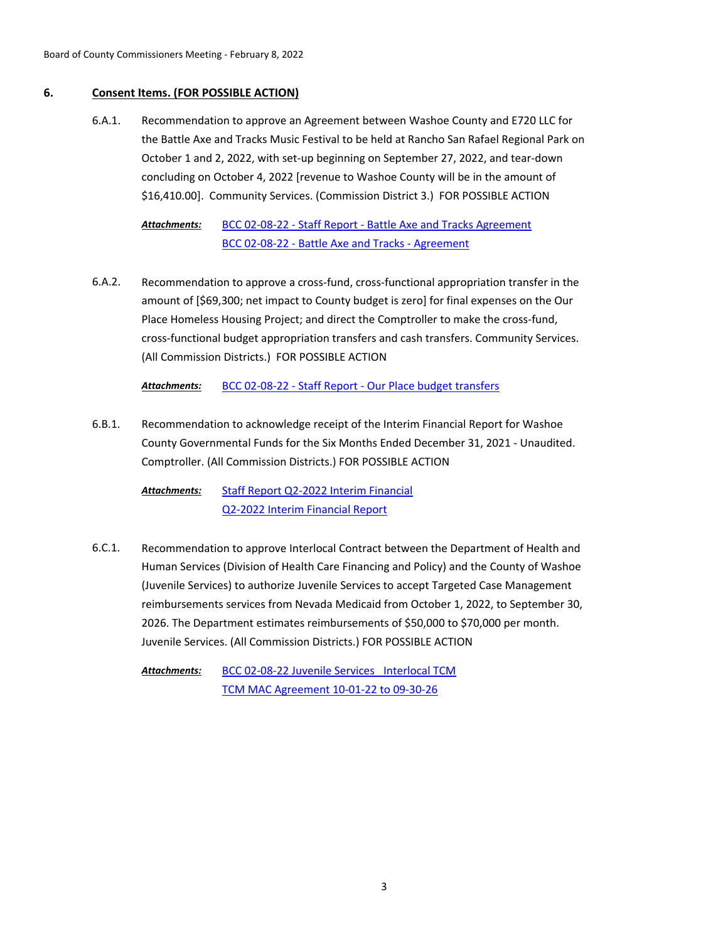## **6. Consent Items. (FOR POSSIBLE ACTION)**

Recommendation to approve an Agreement between Washoe County and E720 LLC for the Battle Axe and Tracks Music Festival to be held at Rancho San Rafael Regional Park on October 1 and 2, 2022, with set-up beginning on September 27, 2022, and tear-down concluding on October 4, 2022 [revenue to Washoe County will be in the amount of \$16,410.00]. Community Services. (Commission District 3.) FOR POSSIBLE ACTION 6.A.1.

[BCC 02-08-22 - Staff Report - Battle Axe and Tracks Agreement](http://washoe-nv.legistar.com/gateway.aspx?M=F&ID=2efde0d6-a408-41ee-b287-8d928918f773.doc) [BCC 02-08-22 - Battle Axe and Tracks - Agreement](http://washoe-nv.legistar.com/gateway.aspx?M=F&ID=09b2caf3-21bf-44d4-bc9f-790497635af8.pdf) *Attachments:*

Recommendation to approve a cross-fund, cross-functional appropriation transfer in the amount of [\$69,300; net impact to County budget is zero] for final expenses on the Our Place Homeless Housing Project; and direct the Comptroller to make the cross-fund, cross-functional budget appropriation transfers and cash transfers. Community Services. (All Commission Districts.) FOR POSSIBLE ACTION 6.A.2.

*Attachments:* [BCC 02-08-22 - Staff Report - Our Place budget transfers](http://washoe-nv.legistar.com/gateway.aspx?M=F&ID=5030c795-7fb6-433c-928a-9319142bce40.doc)

Recommendation to acknowledge receipt of the Interim Financial Report for Washoe County Governmental Funds for the Six Months Ended December 31, 2021 - Unaudited. Comptroller. (All Commission Districts.) FOR POSSIBLE ACTION 6.B.1.

[Staff Report Q2-2022 Interim Financial](http://washoe-nv.legistar.com/gateway.aspx?M=F&ID=12ddbca7-d036-423c-9a6b-09508fbdbe2d.docx) [Q2-2022 Interim Financial Report](http://washoe-nv.legistar.com/gateway.aspx?M=F&ID=55e2c75b-05d5-41db-b81a-815a2cb7f531.docx) *Attachments:*

Recommendation to approve Interlocal Contract between the Department of Health and Human Services (Division of Health Care Financing and Policy) and the County of Washoe (Juvenile Services) to authorize Juvenile Services to accept Targeted Case Management reimbursements services from Nevada Medicaid from October 1, 2022, to September 30, 2026. The Department estimates reimbursements of \$50,000 to \$70,000 per month. Juvenile Services. (All Commission Districts.) FOR POSSIBLE ACTION 6.C.1.

BCC 02-08-22 Juvenile Services Interlocal TCM [TCM MAC Agreement 10-01-22 to 09-30-26](http://washoe-nv.legistar.com/gateway.aspx?M=F&ID=1ed28eb7-4c00-45bb-93fa-efdf4a3e2ab3.pdf) *Attachments:*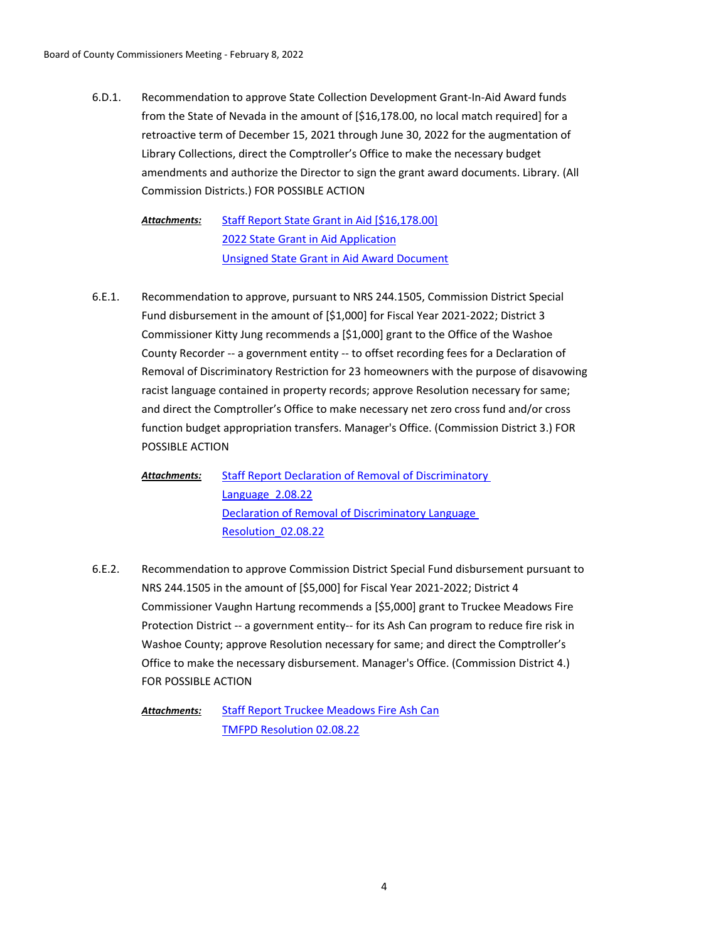Recommendation to approve State Collection Development Grant-In-Aid Award funds from the State of Nevada in the amount of [\$16,178.00, no local match required] for a retroactive term of December 15, 2021 through June 30, 2022 for the augmentation of Library Collections, direct the Comptroller's Office to make the necessary budget amendments and authorize the Director to sign the grant award documents. Library. (All Commission Districts.) FOR POSSIBLE ACTION 6.D.1.

[Staff Report State Grant in Aid \[\\$16,178.00\]](http://washoe-nv.legistar.com/gateway.aspx?M=F&ID=8a94679c-e2ff-48df-96e1-59b89f26df65.doc) [2022 State Grant in Aid Application](http://washoe-nv.legistar.com/gateway.aspx?M=F&ID=6d0cf1d6-f156-403c-8bc1-0fb894f2a8dd.docx) [Unsigned State Grant in Aid Award Document](http://washoe-nv.legistar.com/gateway.aspx?M=F&ID=b47eed40-9789-40dd-b8bb-3e66db4767b4.doc) *Attachments:*

Recommendation to approve, pursuant to NRS 244.1505, Commission District Special Fund disbursement in the amount of [\$1,000] for Fiscal Year 2021-2022; District 3 Commissioner Kitty Jung recommends a [\$1,000] grant to the Office of the Washoe County Recorder -- a government entity -- to offset recording fees for a Declaration of Removal of Discriminatory Restriction for 23 homeowners with the purpose of disavowing racist language contained in property records; approve Resolution necessary for same; and direct the Comptroller's Office to make necessary net zero cross fund and/or cross function budget appropriation transfers. Manager's Office. (Commission District 3.) FOR POSSIBLE ACTION 6.E.1.

[Staff Report Declaration of Removal of Discriminatory](http://washoe-nv.legistar.com/gateway.aspx?M=F&ID=32a7f86c-8820-44de-9033-f1a033dcf27c.docx)  Language\_2.08.22 [Declaration of Removal of Discriminatory Language](http://washoe-nv.legistar.com/gateway.aspx?M=F&ID=d626bd45-afa0-4b5e-856a-22cc9d383cad.docx)  Resolution\_02.08.22 *Attachments:*

Recommendation to approve Commission District Special Fund disbursement pursuant to NRS 244.1505 in the amount of [\$5,000] for Fiscal Year 2021-2022; District 4 Commissioner Vaughn Hartung recommends a [\$5,000] grant to Truckee Meadows Fire Protection District -- a government entity-- for its Ash Can program to reduce fire risk in Washoe County; approve Resolution necessary for same; and direct the Comptroller's Office to make the necessary disbursement. Manager's Office. (Commission District 4.) FOR POSSIBLE ACTION 6.E.2.

[Staff Report Truckee Meadows Fire Ash Can](http://washoe-nv.legistar.com/gateway.aspx?M=F&ID=7aa0f567-66a1-4597-981a-4fe09c68c72e.doc) [TMFPD Resolution 02.08.22](http://washoe-nv.legistar.com/gateway.aspx?M=F&ID=09d9566a-2d55-4f52-b273-26b5dc2d648c.docx) *Attachments:*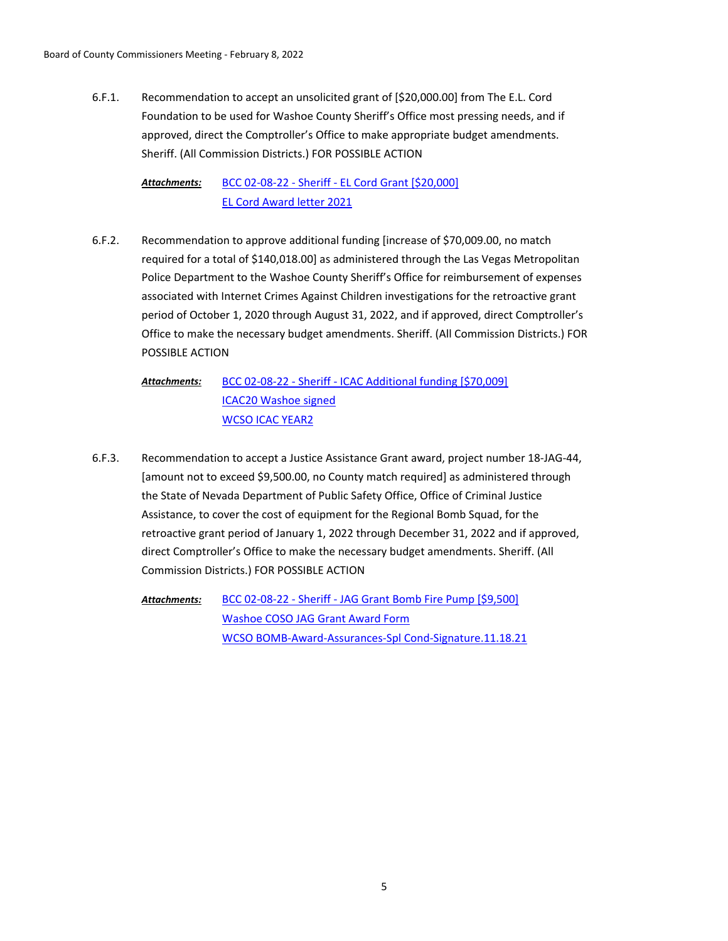Recommendation to accept an unsolicited grant of [\$20,000.00] from The E.L. Cord Foundation to be used for Washoe County Sheriff's Office most pressing needs, and if approved, direct the Comptroller's Office to make appropriate budget amendments. Sheriff. (All Commission Districts.) FOR POSSIBLE ACTION 6.F.1.

[BCC 02-08-22 - Sheriff - EL Cord Grant \[\\$20,000\]](http://washoe-nv.legistar.com/gateway.aspx?M=F&ID=d3769b01-35df-41f3-b7c5-641bc369a37e.doc) [EL Cord Award letter 2021](http://washoe-nv.legistar.com/gateway.aspx?M=F&ID=caa0a184-154b-4cac-a640-36acb08f1edf.pdf) *Attachments:*

Recommendation to approve additional funding [increase of \$70,009.00, no match required for a total of \$140,018.00] as administered through the Las Vegas Metropolitan Police Department to the Washoe County Sheriff's Office for reimbursement of expenses associated with Internet Crimes Against Children investigations for the retroactive grant period of October 1, 2020 through August 31, 2022, and if approved, direct Comptroller's Office to make the necessary budget amendments. Sheriff. (All Commission Districts.) FOR POSSIBLE ACTION 6.F.2.

[BCC 02-08-22 - Sheriff - ICAC Additional funding \[\\$70,009\]](http://washoe-nv.legistar.com/gateway.aspx?M=F&ID=916f211d-d791-4975-9511-9b81710e45e7.doc) [ICAC20 Washoe signed](http://washoe-nv.legistar.com/gateway.aspx?M=F&ID=42eeab25-b327-44cb-854a-7363fa0f6438.pdf) [WCSO ICAC YEAR2](http://washoe-nv.legistar.com/gateway.aspx?M=F&ID=01261031-9991-4ff7-ae67-d8d1f530a932.pdf) *Attachments:*

- Recommendation to accept a Justice Assistance Grant award, project number 18-JAG-44, [amount not to exceed \$9,500.00, no County match required] as administered through the State of Nevada Department of Public Safety Office, Office of Criminal Justice Assistance, to cover the cost of equipment for the Regional Bomb Squad, for the retroactive grant period of January 1, 2022 through December 31, 2022 and if approved, direct Comptroller's Office to make the necessary budget amendments. Sheriff. (All Commission Districts.) FOR POSSIBLE ACTION 6.F.3.
	- [BCC 02-08-22 Sheriff JAG Grant Bomb Fire Pump \[\\$9,500\]](http://washoe-nv.legistar.com/gateway.aspx?M=F&ID=462703f7-bb25-48c2-8cb2-a3b7119c8169.doc) [Washoe COSO JAG Grant Award Form](http://washoe-nv.legistar.com/gateway.aspx?M=F&ID=19384dcd-971f-42a9-8848-92b110ebf7e2.docx) [WCSO BOMB-Award-Assurances-Spl Cond-Signature.11.18.21](http://washoe-nv.legistar.com/gateway.aspx?M=F&ID=870f405a-5210-4148-b410-8d6540f2337c.docx) *Attachments:*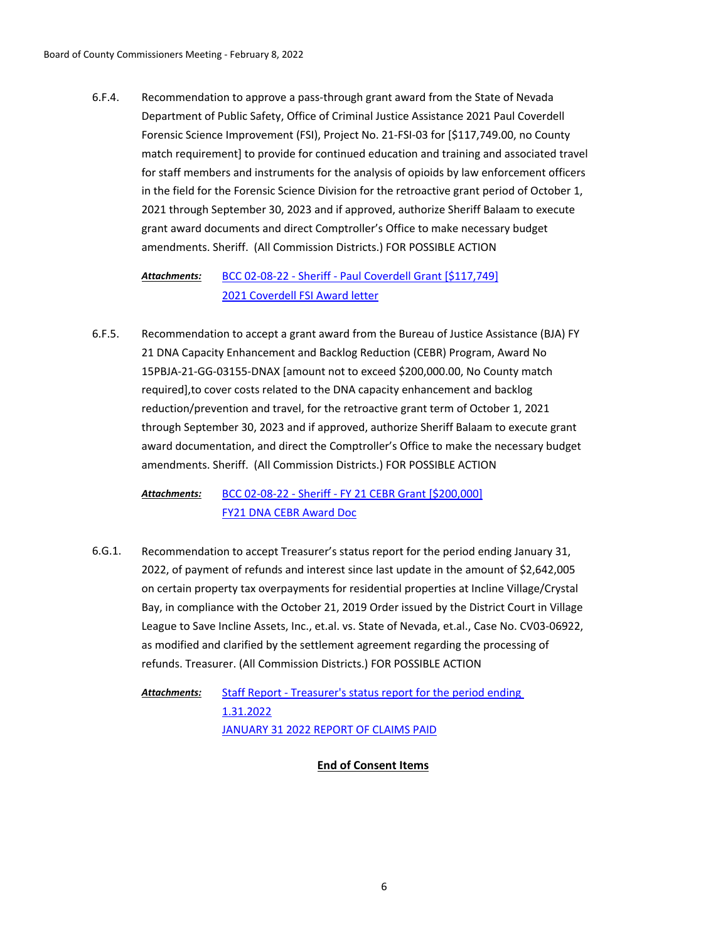Recommendation to approve a pass-through grant award from the State of Nevada Department of Public Safety, Office of Criminal Justice Assistance 2021 Paul Coverdell Forensic Science Improvement (FSI), Project No. 21-FSI-03 for [\$117,749.00, no County match requirement] to provide for continued education and training and associated travel for staff members and instruments for the analysis of opioids by law enforcement officers in the field for the Forensic Science Division for the retroactive grant period of October 1, 2021 through September 30, 2023 and if approved, authorize Sheriff Balaam to execute grant award documents and direct Comptroller's Office to make necessary budget amendments. Sheriff. (All Commission Districts.) FOR POSSIBLE ACTION 6.F.4.

#### [BCC 02-08-22 - Sheriff - Paul Coverdell Grant \[\\$117,749\]](http://washoe-nv.legistar.com/gateway.aspx?M=F&ID=f2a04996-e55c-4b0c-8180-a438b3b75b7f.doc) [2021 Coverdell FSI Award letter](http://washoe-nv.legistar.com/gateway.aspx?M=F&ID=807798a3-b2e5-47c1-83f6-3e48ac729f31.pdf) *Attachments:*

Recommendation to accept a grant award from the Bureau of Justice Assistance (BJA) FY 21 DNA Capacity Enhancement and Backlog Reduction (CEBR) Program, Award No 15PBJA-21-GG-03155-DNAX [amount not to exceed \$200,000.00, No County match required],to cover costs related to the DNA capacity enhancement and backlog reduction/prevention and travel, for the retroactive grant term of October 1, 2021 through September 30, 2023 and if approved, authorize Sheriff Balaam to execute grant award documentation, and direct the Comptroller's Office to make the necessary budget amendments. Sheriff. (All Commission Districts.) FOR POSSIBLE ACTION 6.F.5.

[BCC 02-08-22 - Sheriff - FY 21 CEBR Grant \[\\$200,000\]](http://washoe-nv.legistar.com/gateway.aspx?M=F&ID=70ea42c8-c58f-4947-be49-e7914f7266f0.doc) [FY21 DNA CEBR Award Doc](http://washoe-nv.legistar.com/gateway.aspx?M=F&ID=aacb13d1-78a4-4058-8b8e-350b10c022a2.pdf) *Attachments:*

Recommendation to accept Treasurer's status report for the period ending January 31, 2022, of payment of refunds and interest since last update in the amount of \$2,642,005 on certain property tax overpayments for residential properties at Incline Village/Crystal Bay, in compliance with the October 21, 2019 Order issued by the District Court in Village League to Save Incline Assets, Inc., et.al. vs. State of Nevada, et.al., Case No. CV03-06922, as modified and clarified by the settlement agreement regarding the processing of refunds. Treasurer. (All Commission Districts.) FOR POSSIBLE ACTION 6.G.1.

[Staff Report - Treasurer's status report for the period ending](http://washoe-nv.legistar.com/gateway.aspx?M=F&ID=c6b3e7f1-5111-4b49-be2d-d7335d14be8f.doc)  1.31.2022 [JANUARY 31 2022 REPORT OF CLAIMS PAID](http://washoe-nv.legistar.com/gateway.aspx?M=F&ID=e2d23982-1f6b-47e7-a293-b316b94134ed.pdf) *Attachments:*

## **End of Consent Items**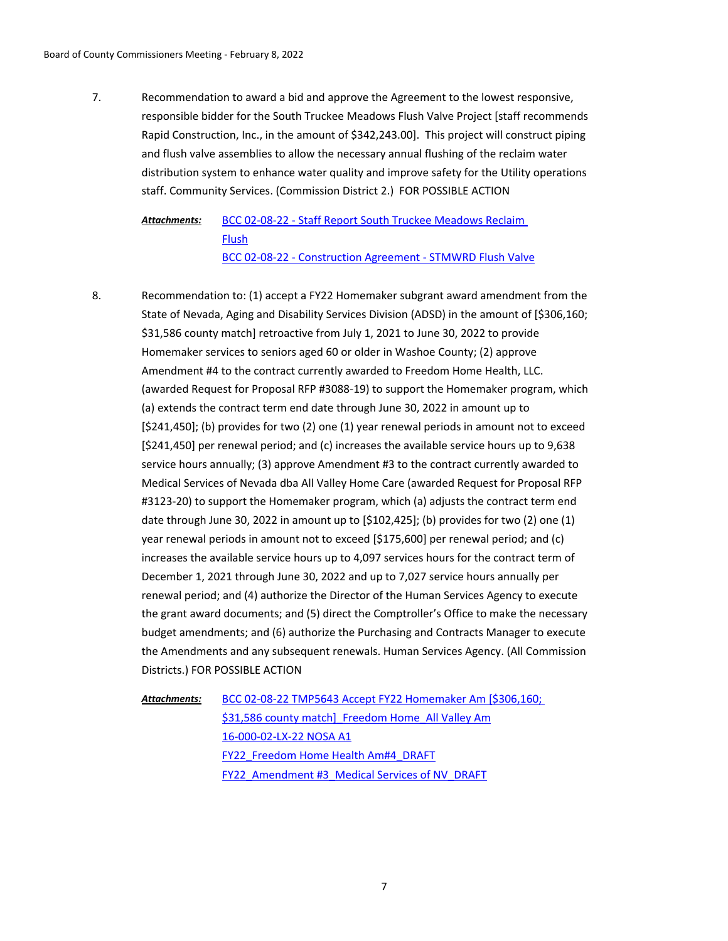Recommendation to award a bid and approve the Agreement to the lowest responsive, responsible bidder for the South Truckee Meadows Flush Valve Project [staff recommends Rapid Construction, Inc., in the amount of \$342,243.00]. This project will construct piping and flush valve assemblies to allow the necessary annual flushing of the reclaim water distribution system to enhance water quality and improve safety for the Utility operations staff. Community Services. (Commission District 2.) FOR POSSIBLE ACTION 7.

[BCC 02-08-22 - Staff Report South Truckee Meadows Reclaim](http://washoe-nv.legistar.com/gateway.aspx?M=F&ID=e376310b-cb68-4b59-9c3d-0de8b4ea0d0a.doc)  Flush [BCC 02-08-22 - Construction Agreement - STMWRD Flush Valve](http://washoe-nv.legistar.com/gateway.aspx?M=F&ID=86fe4203-de2e-4459-83f7-c2d216679f64.pdf) *Attachments:*

Recommendation to: (1) accept a FY22 Homemaker subgrant award amendment from the State of Nevada, Aging and Disability Services Division (ADSD) in the amount of [\$306,160; \$31,586 county match] retroactive from July 1, 2021 to June 30, 2022 to provide Homemaker services to seniors aged 60 or older in Washoe County; (2) approve Amendment #4 to the contract currently awarded to Freedom Home Health, LLC. (awarded Request for Proposal RFP #3088-19) to support the Homemaker program, which (a) extends the contract term end date through June 30, 2022 in amount up to [\$241,450]; (b) provides for two (2) one (1) year renewal periods in amount not to exceed [\$241,450] per renewal period; and (c) increases the available service hours up to 9,638 service hours annually; (3) approve Amendment #3 to the contract currently awarded to Medical Services of Nevada dba All Valley Home Care (awarded Request for Proposal RFP #3123-20) to support the Homemaker program, which (a) adjusts the contract term end date through June 30, 2022 in amount up to [\$102,425]; (b) provides for two (2) one (1) year renewal periods in amount not to exceed [\$175,600] per renewal period; and (c) increases the available service hours up to 4,097 services hours for the contract term of December 1, 2021 through June 30, 2022 and up to 7,027 service hours annually per renewal period; and (4) authorize the Director of the Human Services Agency to execute the grant award documents; and (5) direct the Comptroller's Office to make the necessary budget amendments; and (6) authorize the Purchasing and Contracts Manager to execute the Amendments and any subsequent renewals. Human Services Agency. (All Commission Districts.) FOR POSSIBLE ACTION 8.

[BCC 02-08-22 TMP5643 Accept FY22 Homemaker Am \[\\$306,160;](http://washoe-nv.legistar.com/gateway.aspx?M=F&ID=4f0908ea-5627-476a-9d95-2efd2ea5c4f4.doc)  \$31,586 county match] Freedom Home All Valley Am [16-000-02-LX-22 NOSA A1](http://washoe-nv.legistar.com/gateway.aspx?M=F&ID=a63b9553-7009-43b2-b865-2a46bdbeed7c.pdf) [FY22\\_Freedom Home Health Am#4\\_DRAFT](http://washoe-nv.legistar.com/gateway.aspx?M=F&ID=375ab631-5845-47d0-8300-655dca99ee7b.docx) [FY22\\_Amendment #3\\_Medical Services of NV\\_DRAFT](http://washoe-nv.legistar.com/gateway.aspx?M=F&ID=c1c2eff2-1bce-4b8f-abe8-64bbb55d2050.docx) *Attachments:*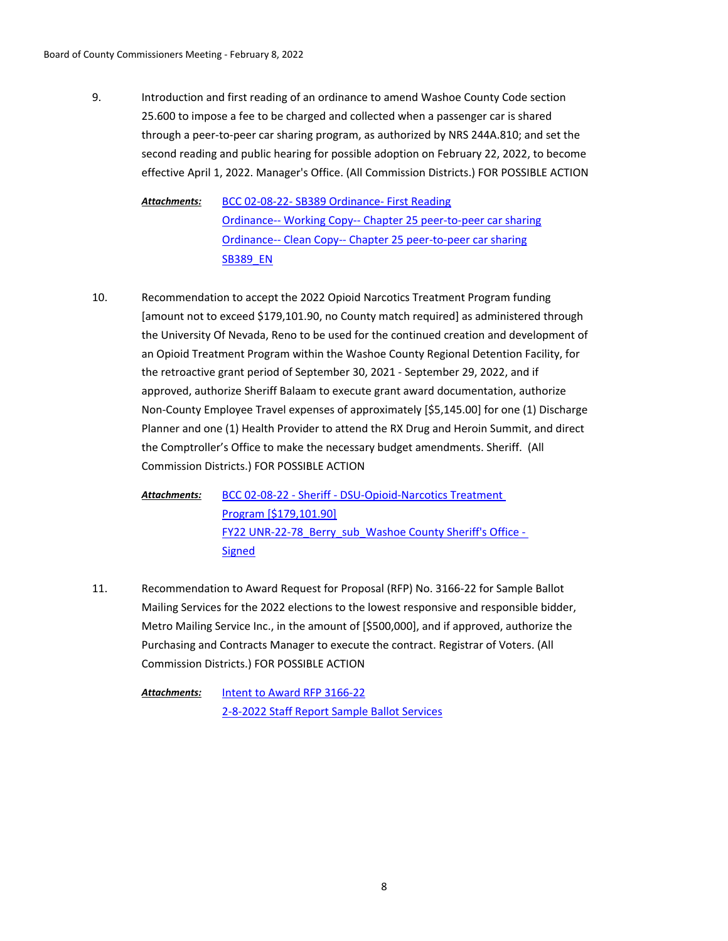Introduction and first reading of an ordinance to amend Washoe County Code section 25.600 to impose a fee to be charged and collected when a passenger car is shared through a peer-to-peer car sharing program, as authorized by NRS 244A.810; and set the second reading and public hearing for possible adoption on February 22, 2022, to become effective April 1, 2022. Manager's Office. (All Commission Districts.) FOR POSSIBLE ACTION 9.

[BCC 02-08-22- SB389 Ordinance- First Reading](http://washoe-nv.legistar.com/gateway.aspx?M=F&ID=4a9ff046-bda5-464f-8ef3-0390b16900fb.doc) [Ordinance-- Working Copy-- Chapter 25 peer-to-peer car sharing](http://washoe-nv.legistar.com/gateway.aspx?M=F&ID=79869025-be29-4616-b51e-f21c1aae383f.docx) [Ordinance-- Clean Copy-- Chapter 25 peer-to-peer car sharing](http://washoe-nv.legistar.com/gateway.aspx?M=F&ID=5e7cb3d4-8746-413e-aa3c-6d12696bcfb7.docx) **[SB389\\_EN](http://washoe-nv.legistar.com/gateway.aspx?M=F&ID=7475d158-a7fc-411c-950f-f747bf2a375a.pdf)** *Attachments:*

Recommendation to accept the 2022 Opioid Narcotics Treatment Program funding [amount not to exceed \$179,101.90, no County match required] as administered through the University Of Nevada, Reno to be used for the continued creation and development of an Opioid Treatment Program within the Washoe County Regional Detention Facility, for the retroactive grant period of September 30, 2021 - September 29, 2022, and if approved, authorize Sheriff Balaam to execute grant award documentation, authorize Non-County Employee Travel expenses of approximately [\$5,145.00] for one (1) Discharge Planner and one (1) Health Provider to attend the RX Drug and Heroin Summit, and direct the Comptroller's Office to make the necessary budget amendments. Sheriff. (All Commission Districts.) FOR POSSIBLE ACTION 10.

[BCC 02-08-22 - Sheriff - DSU-Opioid-Narcotics Treatment](http://washoe-nv.legistar.com/gateway.aspx?M=F&ID=6dad65d8-08b6-4525-8ebe-f59c24865a01.doc)  Program [\$179,101.90] [FY22 UNR-22-78\\_Berry\\_sub\\_Washoe County Sheriff's Office -](http://washoe-nv.legistar.com/gateway.aspx?M=F&ID=6b8910df-92d6-42c9-b74a-39280b947b6c.pdf)  Signed *Attachments:*

Recommendation to Award Request for Proposal (RFP) No. 3166-22 for Sample Ballot Mailing Services for the 2022 elections to the lowest responsive and responsible bidder, Metro Mailing Service Inc., in the amount of [\$500,000], and if approved, authorize the Purchasing and Contracts Manager to execute the contract. Registrar of Voters. (All Commission Districts.) FOR POSSIBLE ACTION 11.

[Intent to Award RFP 3166-22](http://washoe-nv.legistar.com/gateway.aspx?M=F&ID=8eda4e3b-99d8-4762-a6ac-e99c4fd5e677.pdf) [2-8-2022 Staff Report Sample Ballot Services](http://washoe-nv.legistar.com/gateway.aspx?M=F&ID=52f1c263-0823-4106-8320-88a3302e930f.doc) *Attachments:*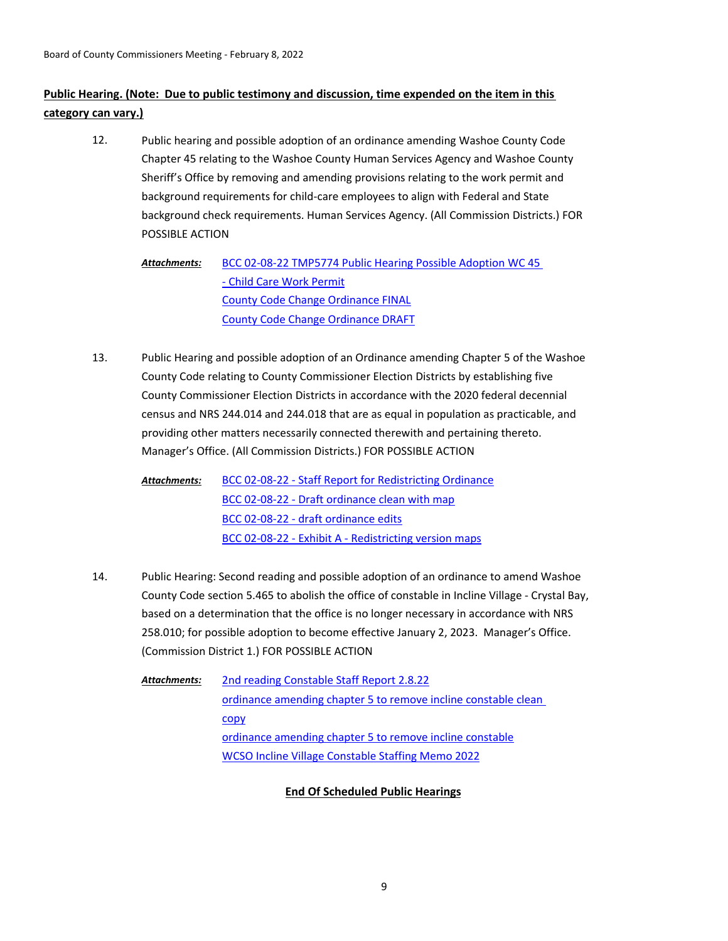# **Public Hearing. (Note: Due to public testimony and discussion, time expended on the item in this category can vary.)**

Public hearing and possible adoption of an ordinance amending Washoe County Code Chapter 45 relating to the Washoe County Human Services Agency and Washoe County Sheriff's Office by removing and amending provisions relating to the work permit and background requirements for child-care employees to align with Federal and State background check requirements. Human Services Agency. (All Commission Districts.) FOR POSSIBLE ACTION 12.

[BCC 02-08-22 TMP5774 Public Hearing Possible Adoption WC 45](http://washoe-nv.legistar.com/gateway.aspx?M=F&ID=d2534ae9-20ca-4c93-abcd-7fd8de5cf4e2.doc)  - Child Care Work Permit [County Code Change Ordinance FINAL](http://washoe-nv.legistar.com/gateway.aspx?M=F&ID=901341f0-370d-4900-bf71-4c17038b2ecf.docx) [County Code Change Ordinance DRAFT](http://washoe-nv.legistar.com/gateway.aspx?M=F&ID=920f348d-bade-4b6b-b40a-091335a3cbb0.docx) *Attachments:*

Public Hearing and possible adoption of an Ordinance amending Chapter 5 of the Washoe County Code relating to County Commissioner Election Districts by establishing five County Commissioner Election Districts in accordance with the 2020 federal decennial census and NRS 244.014 and 244.018 that are as equal in population as practicable, and providing other matters necessarily connected therewith and pertaining thereto. Manager's Office. (All Commission Districts.) FOR POSSIBLE ACTION 13.

[BCC 02-08-22 - Staff Report for Redistricting Ordinance](http://washoe-nv.legistar.com/gateway.aspx?M=F&ID=4d149ff5-e26a-4e87-abc0-99ce76f72731.doc) [BCC 02-08-22 - Draft ordinance clean with map](http://washoe-nv.legistar.com/gateway.aspx?M=F&ID=ae24c898-e4ab-41ce-80ef-71ee7bb3ddbb.docx) [BCC 02-08-22 - draft ordinance edits](http://washoe-nv.legistar.com/gateway.aspx?M=F&ID=727f6fc8-9e04-4158-b346-e2897021c686.docx) [BCC 02-08-22 - Exhibit A - Redistricting version maps](http://washoe-nv.legistar.com/gateway.aspx?M=F&ID=e79d7101-aa72-4fc3-a1c8-c651372711e5.pdf) *Attachments:*

Public Hearing: Second reading and possible adoption of an ordinance to amend Washoe County Code section 5.465 to abolish the office of constable in Incline Village - Crystal Bay, based on a determination that the office is no longer necessary in accordance with NRS 258.010; for possible adoption to become effective January 2, 2023. Manager's Office. (Commission District 1.) FOR POSSIBLE ACTION 14.

[2nd reading Constable Staff Report 2.8.22](http://washoe-nv.legistar.com/gateway.aspx?M=F&ID=e53a0b0d-b113-4cd7-86de-2c5da538a742.docx) [ordinance amending chapter 5 to remove incline constable clean](http://washoe-nv.legistar.com/gateway.aspx?M=F&ID=2f7b61e7-007a-4b7c-b50b-7518cd42b2b5.docx)  copy [ordinance amending chapter 5 to remove incline constable](http://washoe-nv.legistar.com/gateway.aspx?M=F&ID=9082ce06-ce9f-46b9-9d3f-5055c4435040.docx) [WCSO Incline Village Constable Staffing Memo 2022](http://washoe-nv.legistar.com/gateway.aspx?M=F&ID=2c966356-1a41-458d-8f64-9599f5f1aba3.docx) *Attachments:*

## **End Of Scheduled Public Hearings**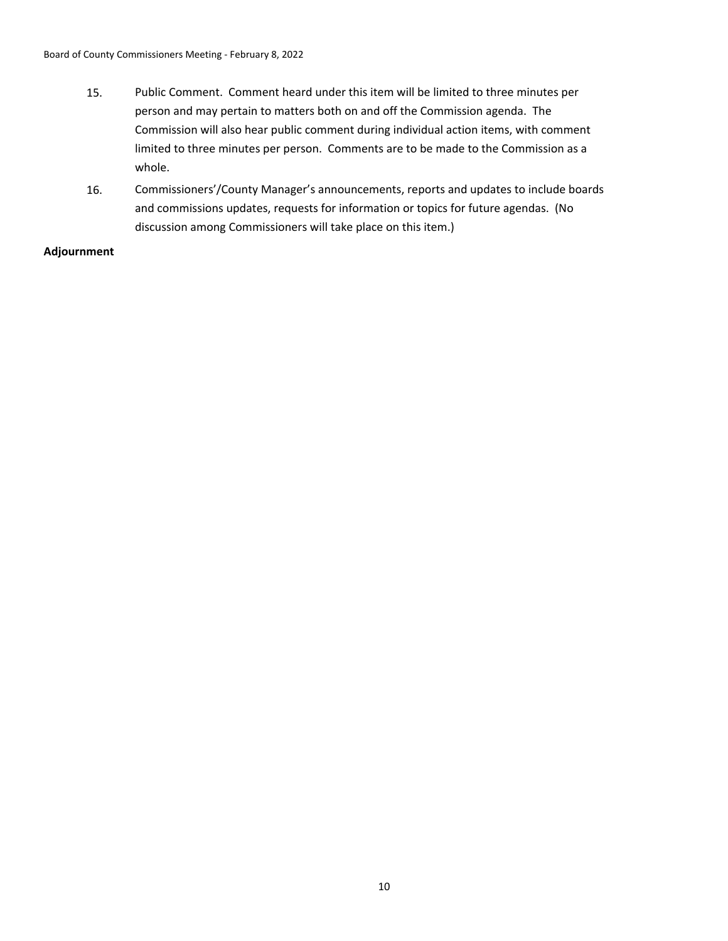- 15. Public Comment. Comment heard under this item will be limited to three minutes per person and may pertain to matters both on and off the Commission agenda. The Commission will also hear public comment during individual action items, with comment limited to three minutes per person. Comments are to be made to the Commission as a whole.
- 16. Commissioners'/County Manager's announcements, reports and updates to include boards and commissions updates, requests for information or topics for future agendas. (No discussion among Commissioners will take place on this item.)

## **Adjournment**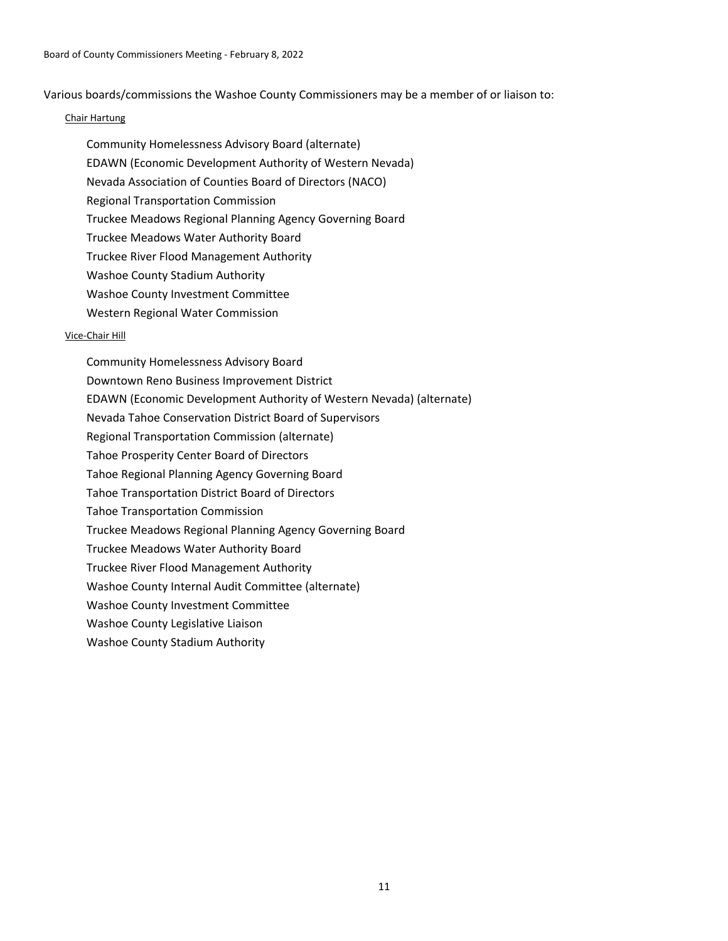Various boards/commissions the Washoe County Commissioners may be a member of or liaison to:

## Chair Hartung

Community Homelessness Advisory Board (alternate) EDAWN (Economic Development Authority of Western Nevada) Nevada Association of Counties Board of Directors (NACO) Regional Transportation Commission Truckee Meadows Regional Planning Agency Governing Board Truckee Meadows Water Authority Board Truckee River Flood Management Authority Washoe County Stadium Authority Washoe County Investment Committee Western Regional Water Commission

#### Vice-Chair Hill

Community Homelessness Advisory Board Downtown Reno Business Improvement District EDAWN (Economic Development Authority of Western Nevada) (alternate) Nevada Tahoe Conservation District Board of Supervisors Regional Transportation Commission (alternate) Tahoe Prosperity Center Board of Directors Tahoe Regional Planning Agency Governing Board Tahoe Transportation District Board of Directors Tahoe Transportation Commission Truckee Meadows Regional Planning Agency Governing Board Truckee Meadows Water Authority Board Truckee River Flood Management Authority Washoe County Internal Audit Committee (alternate) Washoe County Investment Committee Washoe County Legislative Liaison Washoe County Stadium Authority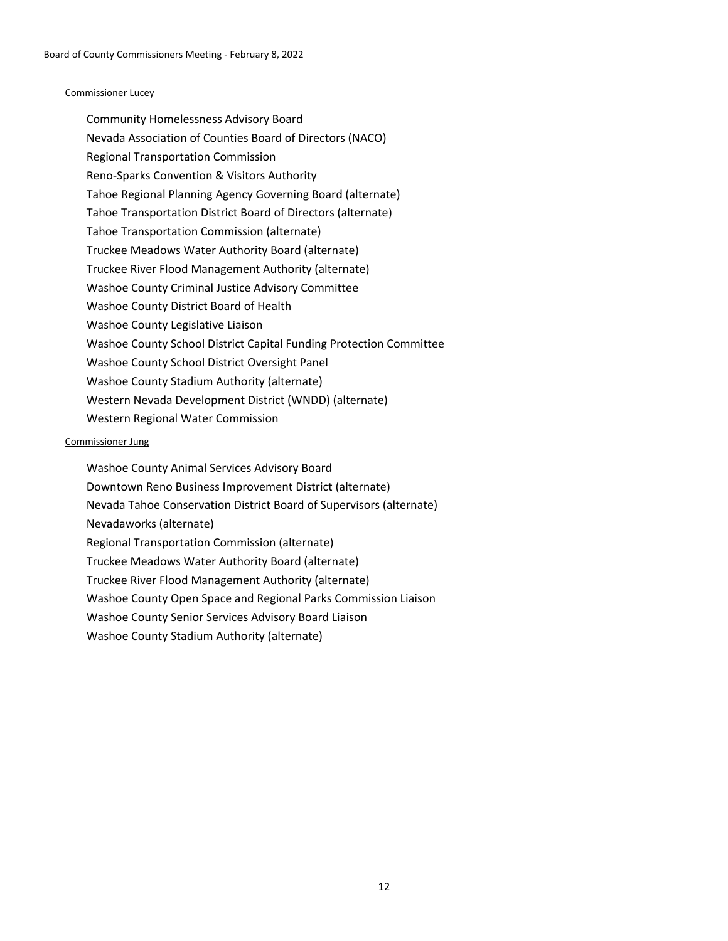## Commissioner Lucey

Community Homelessness Advisory Board Nevada Association of Counties Board of Directors (NACO) Regional Transportation Commission Reno-Sparks Convention & Visitors Authority Tahoe Regional Planning Agency Governing Board (alternate) Tahoe Transportation District Board of Directors (alternate) Tahoe Transportation Commission (alternate) Truckee Meadows Water Authority Board (alternate) Truckee River Flood Management Authority (alternate) Washoe County Criminal Justice Advisory Committee Washoe County District Board of Health Washoe County Legislative Liaison Washoe County School District Capital Funding Protection Committee Washoe County School District Oversight Panel Washoe County Stadium Authority (alternate) Western Nevada Development District (WNDD) (alternate) Western Regional Water Commission

#### Commissioner Jung

Washoe County Animal Services Advisory Board Downtown Reno Business Improvement District (alternate) Nevada Tahoe Conservation District Board of Supervisors (alternate) Nevadaworks (alternate) Regional Transportation Commission (alternate) Truckee Meadows Water Authority Board (alternate) Truckee River Flood Management Authority (alternate) Washoe County Open Space and Regional Parks Commission Liaison Washoe County Senior Services Advisory Board Liaison Washoe County Stadium Authority (alternate)